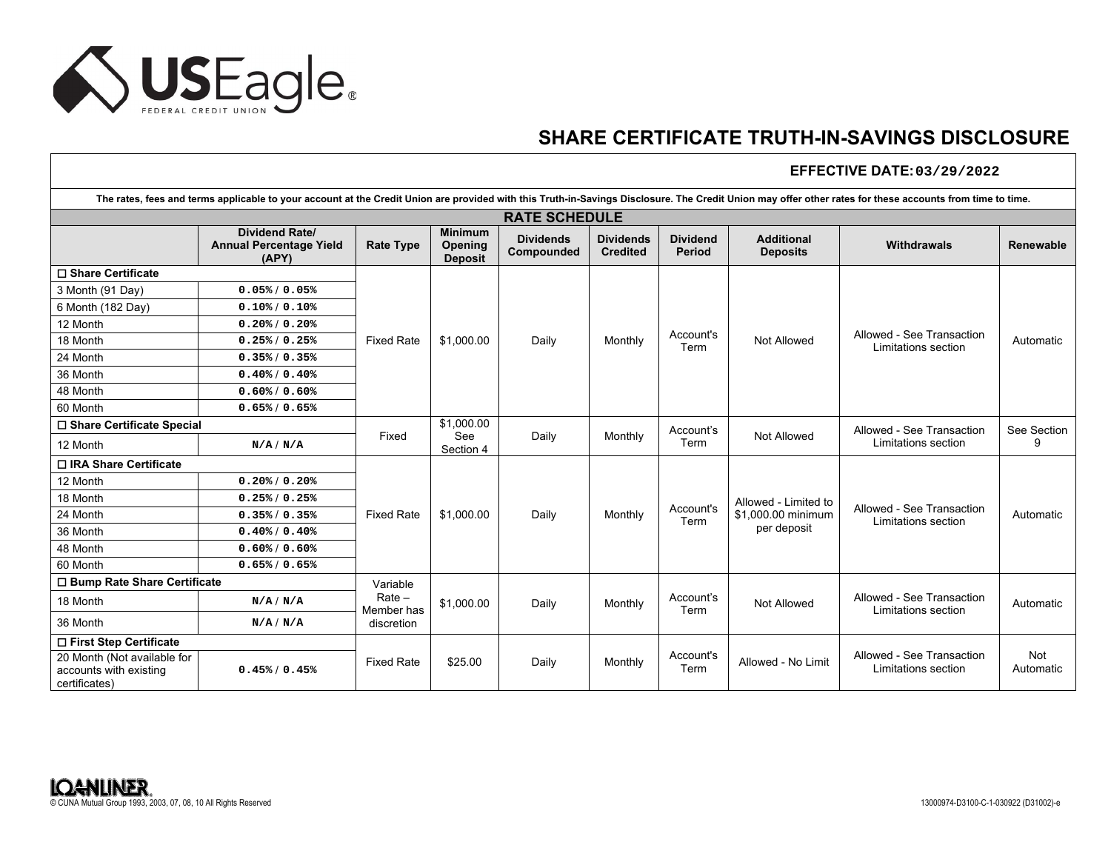

## **SHARE CERTIFICATE TRUTH-IN-SAVINGS DISCLOSURE**

## **EFFECTIVE DATE: 03/29/2022**

| The rates, fees and terms applicable to your account at the Credit Union are provided with this Truth-in-Savings Disclosure. The Credit Union may offer other rates for these accounts from time to time. |                                                                  |                                      |                                                    |                                |                                     |                           |                                                           |                                                  |                  |
|-----------------------------------------------------------------------------------------------------------------------------------------------------------------------------------------------------------|------------------------------------------------------------------|--------------------------------------|----------------------------------------------------|--------------------------------|-------------------------------------|---------------------------|-----------------------------------------------------------|--------------------------------------------------|------------------|
|                                                                                                                                                                                                           |                                                                  |                                      |                                                    | <b>RATE SCHEDULE</b>           |                                     |                           |                                                           |                                                  |                  |
|                                                                                                                                                                                                           | <b>Dividend Rate/</b><br><b>Annual Percentage Yield</b><br>(APY) | <b>Rate Type</b>                     | <b>Minimum</b><br><b>Opening</b><br><b>Deposit</b> | <b>Dividends</b><br>Compounded | <b>Dividends</b><br><b>Credited</b> | <b>Dividend</b><br>Period | <b>Additional</b><br><b>Deposits</b>                      | Withdrawals                                      | <b>Renewable</b> |
| □ Share Certificate                                                                                                                                                                                       |                                                                  |                                      |                                                    |                                |                                     |                           |                                                           |                                                  |                  |
| 3 Month (91 Day)                                                                                                                                                                                          | 0.05% / 0.05%                                                    |                                      |                                                    | Daily                          | Monthly                             | Account's<br>Term         | Not Allowed                                               | Allowed - See Transaction<br>Limitations section | Automatic        |
| 6 Month (182 Day)                                                                                                                                                                                         | 0.10% / 0.10%                                                    |                                      |                                                    |                                |                                     |                           |                                                           |                                                  |                  |
| 12 Month                                                                                                                                                                                                  | $0.20\frac{8}{9}$ / 0.20%                                        |                                      |                                                    |                                |                                     |                           |                                                           |                                                  |                  |
| 18 Month                                                                                                                                                                                                  | 0.25% / 0.25%                                                    | <b>Fixed Rate</b>                    | \$1,000.00                                         |                                |                                     |                           |                                                           |                                                  |                  |
| 24 Month                                                                                                                                                                                                  | 0.35% / 0.35%                                                    |                                      |                                                    |                                |                                     |                           |                                                           |                                                  |                  |
| 36 Month                                                                                                                                                                                                  | $0.40\% / 0.40\%$                                                |                                      |                                                    |                                |                                     |                           |                                                           |                                                  |                  |
| 48 Month                                                                                                                                                                                                  | $0.60\frac{1}{6}$ / 0.60%                                        |                                      |                                                    |                                |                                     |                           |                                                           |                                                  |                  |
| 60 Month                                                                                                                                                                                                  | 0.65% / 0.65%                                                    |                                      |                                                    |                                |                                     |                           |                                                           |                                                  |                  |
| □ Share Certificate Special                                                                                                                                                                               |                                                                  |                                      | \$1,000.00                                         |                                |                                     | Account's                 |                                                           | Allowed - See Transaction                        | See Section      |
| 12 Month                                                                                                                                                                                                  | N/A/N/A                                                          | Fixed                                | See<br>Section 4                                   | Daily                          | Monthly                             | Term                      | Not Allowed                                               | Limitations section                              | g                |
| □ IRA Share Certificate                                                                                                                                                                                   |                                                                  |                                      |                                                    |                                |                                     |                           |                                                           |                                                  |                  |
| 12 Month                                                                                                                                                                                                  | $0.20\frac{8}{9}$ / 0.20%                                        |                                      |                                                    |                                |                                     |                           |                                                           |                                                  |                  |
| 18 Month                                                                                                                                                                                                  | 0.25% / 0.25%                                                    |                                      | \$1,000.00                                         | Daily                          | Monthly                             | Account's<br>Term         | Allowed - Limited to<br>\$1,000.00 minimum<br>per deposit | Allowed - See Transaction<br>Limitations section | Automatic        |
| 24 Month                                                                                                                                                                                                  | 0.35% / 0.35%                                                    | <b>Fixed Rate</b>                    |                                                    |                                |                                     |                           |                                                           |                                                  |                  |
| 36 Month                                                                                                                                                                                                  | $0.40\frac{8}{10.40\%}$                                          |                                      |                                                    |                                |                                     |                           |                                                           |                                                  |                  |
| 48 Month                                                                                                                                                                                                  | $0.60\% / 0.60\%$                                                |                                      |                                                    |                                |                                     |                           |                                                           |                                                  |                  |
| 60 Month                                                                                                                                                                                                  | 0.65% / 0.65%                                                    |                                      |                                                    |                                |                                     |                           |                                                           |                                                  |                  |
| □ Bump Rate Share Certificate                                                                                                                                                                             |                                                                  | Variable                             | \$1,000.00                                         | Daily                          | Monthly                             | Account's<br>Term         | <b>Not Allowed</b>                                        | Allowed - See Transaction<br>Limitations section | Automatic        |
| 18 Month                                                                                                                                                                                                  | N/A/N/A                                                          | $Rate -$<br>Member has<br>discretion |                                                    |                                |                                     |                           |                                                           |                                                  |                  |
| 36 Month                                                                                                                                                                                                  | N/A/N/A                                                          |                                      |                                                    |                                |                                     |                           |                                                           |                                                  |                  |
| □ First Step Certificate                                                                                                                                                                                  |                                                                  |                                      |                                                    |                                |                                     |                           |                                                           |                                                  |                  |
| 20 Month (Not available for<br>accounts with existing<br>certificates)                                                                                                                                    | 0.45% / 0.45%                                                    | <b>Fixed Rate</b>                    | \$25.00                                            | Daily                          | Monthly                             | Account's<br>Term         | Allowed - No Limit                                        | Allowed - See Transaction<br>Limitations section | Not<br>Automatic |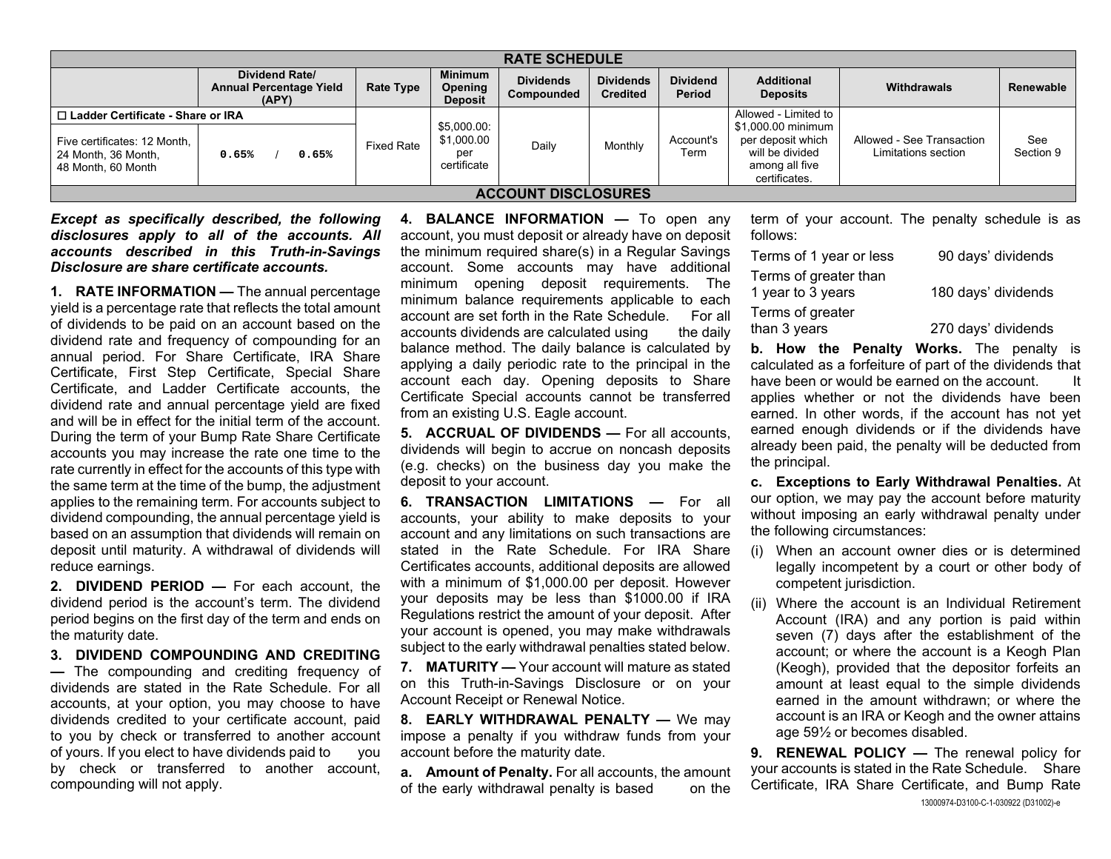| <b>RATE SCHEDULE</b>                                                                                             |                                                           |                   |                                                 |                                |                                     |                           |                                                                                                                       |                                                  |                  |
|------------------------------------------------------------------------------------------------------------------|-----------------------------------------------------------|-------------------|-------------------------------------------------|--------------------------------|-------------------------------------|---------------------------|-----------------------------------------------------------------------------------------------------------------------|--------------------------------------------------|------------------|
|                                                                                                                  | Dividend Rate/<br><b>Annual Percentage Yield</b><br>(APY) | <b>Rate Type</b>  | <b>Minimum</b><br>Opening<br><b>Deposit</b>     | <b>Dividends</b><br>Compounded | <b>Dividends</b><br><b>Credited</b> | <b>Dividend</b><br>Period | <b>Additional</b><br><b>Deposits</b>                                                                                  | <b>Withdrawals</b>                               | Renewable        |
| □ Ladder Certificate - Share or IRA<br>Five certificates: 12 Month,<br>24 Month, 36 Month,<br>48 Month, 60 Month | 0.65%<br>0.65%                                            | <b>Fixed Rate</b> | \$5,000.00:<br>\$1,000.00<br>pel<br>certificate | Daily                          | Monthly                             | Account's<br>Term         | Allowed - Limited to<br>\$1,000.00 minimum<br>per deposit which<br>will be divided<br>among all five<br>certificates. | Allowed - See Transaction<br>Limitations section | See<br>Section 9 |
| <b>ACCOUNT DISCLOSURES</b>                                                                                       |                                                           |                   |                                                 |                                |                                     |                           |                                                                                                                       |                                                  |                  |

*Except as specifically described, the following disclosures apply to all of the accounts. All accounts described in this Truth-in-Savings Disclosure are share certificate accounts.* 

**1. RATE INFORMATION —** The annual percentage yield is a percentage rate that reflects the total amount of dividends to be paid on an account based on the dividend rate and frequency of compounding for an annual period. For Share Certificate, IRA Share Certificate, First Step Certificate, Special Shar e Certificate, and Ladder Certificate accounts, the dividend rate and annual percentage yield are fixed and will be in effect for the initial term of the account.During the term of your Bump Rate Share Certificate accounts you may increase the rate one time to the rate currently in effect for the accounts of this type with the same term at the time of the bump, the adjustment applies to the remaining term. For accounts subject to dividend compounding, the annual percentage yield is based on an assumption that dividends will remain on deposit until maturity. A withdrawal of dividends will reduce earnings.

**2. DIVIDEND PERIOD —** For each account, the dividend period is the account's term. The dividend period begins on the first day of the term and ends on the maturity date.

**3. DIVIDEND COMPOUNDING AND CREDITING —** The compounding and crediting frequency of dividends are stated in the Rate Schedule. For allaccounts, at your option, you may choose to have dividends credited to your certificate account, paid to you by check or transferred to another account of yours. If you elect to have dividends paid to you by check or transferred to another account, compounding will not apply.

**4. BALANCE INFORMATION —** To open any account, you must deposit or already have on deposit the minimum required share(s) in a Regular Savings account. Some accounts may have additional minimum opening deposit requirements. The minimum balance requirements applicable to each account are set forth in the Rate Schedule. For allaccounts dividends are calculated using the daily balance method. The daily balance is calculated by applying a daily periodic rate to the principal in the account each day. Opening deposits to Share Certificate Special accounts cannot be transferred from an existing U.S. Eagle account.

**5. ACCRUAL OF DIVIDENDS —** For all accounts, dividends will begin to accrue on noncash deposits (e.g. checks) on the business day you make the deposit to your account.

**6. TRANSACTION LIMITATIONS —** For all accounts, your ability to make deposits to your account and any limitations on such transactions ar estated in the Rate Schedule. For IRA ShareCertificates accounts, additional deposits are allowe d with a minimum of \$1,000.00 per deposit. However your deposits may be less than \$1000.00 if IRA Regulations restrict the amount of your deposit. After your account is opened, you may make withdrawals subject to the early withdrawal penalties stated below.

**7. MATURITY —** Your account will mature as statedon this Truth-in-Savings Disclosure or on your Account Receipt or Renewal Notice.

**8. EARLY WITHDRAWAL PENALTY —** We may impose a penalty if you withdraw funds from your account before the maturity date.

**a. Amount of Penalty.** For all accounts, the amount of the early withdrawal penalty is based on the

term of your account. The penalty schedule is as follows:

| Terms of 1 year or less | 90 days' dividends  |
|-------------------------|---------------------|
| Terms of greater than   |                     |
| 1 year to 3 years       | 180 days' dividends |
| Terms of greater        |                     |
| than 3 years            | 270 days' dividends |

**b. How the Penalty Works.** The penalty is calculated as a forfeiture of part of the dividends that have been or would be earned on the account. It applies whether or not the dividends have been earned. In other words, if the account has not yet earned enough dividends or if the dividends have already been paid, the penalty will be deducted from the principal.

**c. Exceptions to Early Withdrawal Penalties.** At our option, we may pay the account before maturity without imposing an early withdrawal penalty under the following circumstances:

- (i) When an account owner dies or is determined legally incompetent by a court or other body of competent jurisdiction.
- (ii) Where the account is an Individual Retirement Account (IRA) and any portion is paid within seven (7) days after the establishment of the account; or where the account is a Keogh Plan (Keogh), provided that the depositor forfeits an amount at least equal to the simple dividends earned in the amount withdrawn; or where the account is an IRA or Keogh and the owner attains age 59½ or becomes disabled.

13000974-D3100-C-1-030922 (D31002)-e **9. RENEWAL POLICY —** The renewal policy for your accounts is stated in the Rate Schedule. Share Certificate, IRA Share Certificate, and Bump Rate